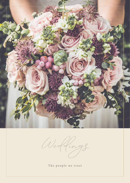

Weddings

The people we trust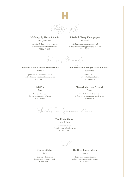

**Weddings by Harry & Annie** *Harry & Annie*

weddingsbyharryandannie.co.uk weddings@harryandannie.co.uk 07572 371560

**Elizabeth Young Photography** *Elizabeth*

elizabethyoungphotography.co.uk Beth@elizabethyoungphotography.co.uk 07504 955019

Hair & Beauty

## **Polished at the Haycock Manor Hotel**

*Antonia*

polished-nailsandbeauty.co.uk hello@polished-nailsandbeauty.co.uk 07811 057715

**L R Pro**

*Lucy* 

lrprostudio.co.uk lucyhanagan@hotmail.com 07594 029993

**Eir Beauty at the Haycock Manor Hotel** *Samantha* eirbeauty.co.uk

eirbeauty1@gmail.com 07809 684862

**Michael John Hair Artwork** *Amber*

michaeljohnhairartwork.co.uk info@michaeljohnhairartwork.co.uk 01733 553732

Bridal & Groom Wear

**Vow Bridal Gallery** *Lisa & Dave*

vowbridal.co.uk thegallery@vowbridal.co.uk 01780 783607

Cake

**Couture Cakes** *Katie* 

couture-cakes.co.uk katie@couture-cakes.co.uk 07968 596912

**The Greenhouse Cakerie**  *Laura*

thegreenhousecakerie.com info@thegreenhousecakerie.com 07759 775537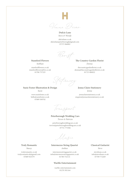

**Dulcie Lane** *Steve & Wendy*

dulcielane.co.uk dulcielanepeterborough@gmail.com 07375 966882

Florist

**Stamford Flowers** *Siobhan*

stamfordflowers.co.uk stamfordflowers@live.co.uk 01780 757225

**The Country Garden Florist** *Donna*

thecountrygardenflorist.co.uk donna@thecountrygardenflorist.co.uk 01733 400022

Stationery

**Suzie Foster Illustration & Design**

*Suzie*

www.suziefoster.co.uk hello@suziefoster.co.uk 07809 509702

**Jenna Claire Stationery** *Jenna*

jennaclairestationery.co.uk enquire@jennaclairestationery.co.uk

Transport

**Peterborough Wedding Cars** *Trevor & Patricia*

peterboroughweddingcars.co.uk trevor@peterboroughweddingcars.co.uk 07751 775306

Music

**Truly Romantic**

*Stacey* 

trulyromantic.co.uk trulyromanticuk@gmail.com 07889 925579

**Intermezzo String Quartet**  *Anthea*

intermezzostringquartet.co.uk info@intermezzostringquartet.co.uk 01780 752114

## **Warble Entertainment**

warble-entertainment.com 01270 501164

**Classical Guitarist** 

*Steve*

stevebean.co.uk info@stevebean.co.uk 07709 772269